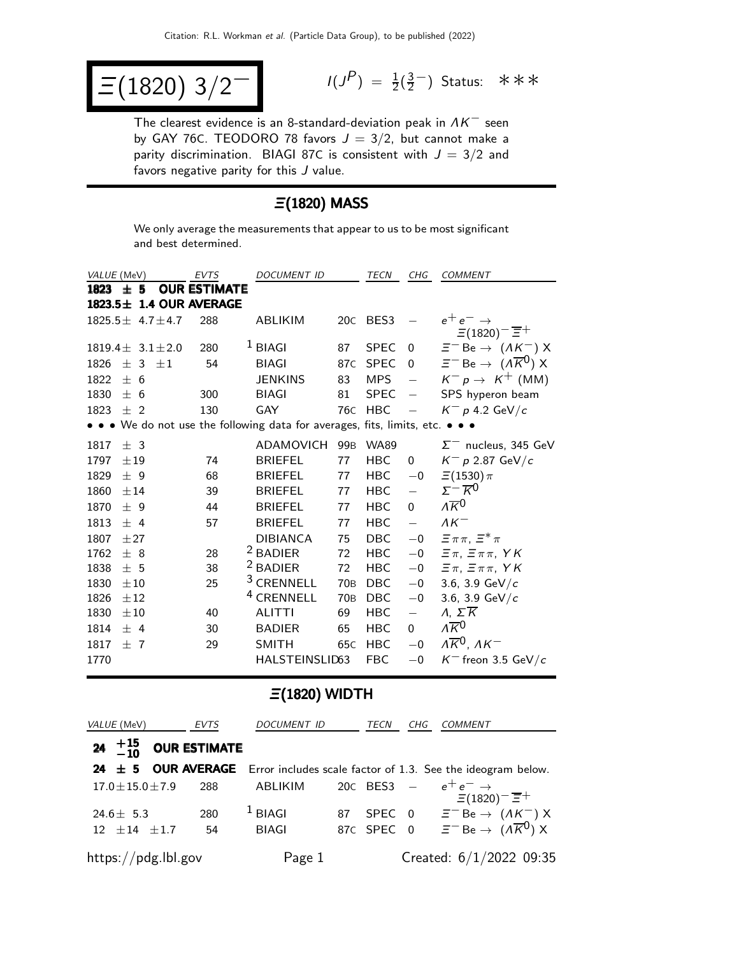$$
\boxed{\equiv} (1820) \; 3/2^{-}
$$

$$
I(J^{P}) = \frac{1}{2}(\frac{3}{2}^{-})
$$
 Status:  $\ast \ast \ast$ 

The clearest evidence is an 8-standard-deviation peak in  $\Lambda K^-$  seen by GAY 76C. TEODORO 78 favors  $J = 3/2$ , but cannot make a parity discrimination. BIAGI 87C is consistent with  $J = 3/2$  and favors negative parity for this  $J$  value.

### Ξ(1820) MASS

We only average the measurements that appear to us to be most significant and best determined.

|      | VALUE (MeV)              | <b>EVTS</b>         | <b>DOCUMENT ID</b>                                                            |                 | <b>TECN</b>      | CHG                      | <b>COMMENT</b>                                                        |
|------|--------------------------|---------------------|-------------------------------------------------------------------------------|-----------------|------------------|--------------------------|-----------------------------------------------------------------------|
|      | $1823 \pm 5$             | <b>OUR ESTIMATE</b> |                                                                               |                 |                  |                          |                                                                       |
|      | 1823.5± 1.4 OUR AVERAGE  |                     |                                                                               |                 |                  |                          |                                                                       |
|      | $1825.5 \pm 4.7 \pm 4.7$ | 288                 | ABLIKIM                                                                       | 20C             | BES <sub>3</sub> |                          | $e^+e^- \rightarrow$<br>$\Xi(1820)^{-}$ $\overline{\Xi}$ <sup>+</sup> |
|      | $1819.4 \pm 3.1 \pm 2.0$ | 280                 | $1$ BIAGI                                                                     | 87              | <b>SPEC</b>      | $\mathbf 0$              | $\Xi^-$ Be $\rightarrow$ (AK <sup>-</sup> ) X                         |
| 1826 | ± 3<br>$\pm 1$           | 54                  | <b>BIAGI</b>                                                                  | 87C             | <b>SPEC</b>      | 0                        | $\Xi^-$ Be $\to$ $(\Lambda \overline{K}^0)$ X                         |
| 1822 | ± 6                      |                     | <b>JENKINS</b>                                                                | 83              | <b>MPS</b>       | $\overline{\phantom{0}}$ | $K^- p \rightarrow K^+$ (MM)                                          |
| 1830 | ± 6                      | 300                 | <b>BIAGI</b>                                                                  | 81              | <b>SPEC</b>      | $\overline{\phantom{0}}$ | SPS hyperon beam                                                      |
| 1823 | $±$ 2                    | 130                 | GAY                                                                           | 76 <sub>C</sub> | <b>HBC</b>       |                          | $K^-$ p 4.2 GeV/c                                                     |
|      |                          |                     | • • • We do not use the following data for averages, fits, limits, etc. • • • |                 |                  |                          |                                                                       |
| 1817 | ± 3                      |                     | <b>ADAMOVICH</b>                                                              | 99 <sub>B</sub> | <b>WA89</b>      |                          | $\Sigma^-$ nucleus, 345 GeV                                           |
| 1797 | ±19                      | 74                  | <b>BRIEFEL</b>                                                                | 77              | <b>HBC</b>       | 0                        | $K^- p 2.87 \text{ GeV}/c$                                            |
| 1829 | ± 9                      | 68                  | <b>BRIEFEL</b>                                                                | 77              | HBC              | $-0$                     | $\Xi(1530)\pi$                                                        |
| 1860 | ±14                      | 39                  | <b>BRIEFEL</b>                                                                | 77              | <b>HBC</b>       | $\overline{\phantom{m}}$ | $\Sigma^{-} \overline{K}{}^{0}$                                       |
| 1870 | ±9                       | 44                  | <b>BRIEFEL</b>                                                                | 77              | <b>HBC</b>       | $\Omega$                 | $\Lambda \overline{K}$ <sup>0</sup>                                   |
| 1813 | ± 4                      | 57                  | <b>BRIEFEL</b>                                                                | 77              | <b>HBC</b>       | $\overline{\phantom{0}}$ | $\Lambda K^-$                                                         |
| 1807 | ±27                      |                     | <b>DIBIANCA</b>                                                               | 75              | DBC              | $-0$                     | $\Xi \pi \pi$ , $\Xi^* \pi$                                           |
| 1762 | ± 8                      | 28                  | <sup>2</sup> BADIER                                                           | 72              | <b>HBC</b>       | $-0$                     | $\Xi \pi$ , $\Xi \pi \pi$ , YK                                        |
| 1838 | ± 5                      | 38                  | <sup>2</sup> BADIER                                                           | 72              | <b>HBC</b>       | $-0$                     | $\Xi \pi$ , $\Xi \pi \pi$ , YK                                        |
| 1830 | ±10                      | 25                  | <sup>3</sup> CRENNELL                                                         | <b>70B</b>      | <b>DBC</b>       | $-0$                     | 3.6, 3.9 GeV/ $c$                                                     |
| 1826 | ±12                      |                     | <sup>4</sup> CRENNELL                                                         | <b>70B</b>      | <b>DBC</b>       | $-0$                     | 3.6, 3.9 $GeV/c$                                                      |
| 1830 | $\pm 10$                 | 40                  | <b>ALITTI</b>                                                                 | 69              | HBC              | $\overline{\phantom{m}}$ | $\Lambda, \Sigma \overline{K}$                                        |
| 1814 | ± 4                      | 30                  | <b>BADIER</b>                                                                 | 65              | <b>HBC</b>       | 0                        | $\Lambda \overline{\mathcal{K}}^0$                                    |
| 1817 | ±7                       | 29                  | <b>SMITH</b>                                                                  | 65 <sub>C</sub> | <b>HBC</b>       | $-0$                     | $\Lambda \overline{K}^0$ , $\Lambda K^-$                              |
| 1770 |                          |                     | HALSTEINSLID63                                                                |                 | <b>FBC</b>       | $-0$                     | $K^-$ freon 3.5 GeV/c                                                 |

#### Ξ(1820) WIDTH

| VALUE (MeV)             | EVTS                | DOCUMENT ID    |    | TECN           | CHG | COMMENT                                                                        |
|-------------------------|---------------------|----------------|----|----------------|-----|--------------------------------------------------------------------------------|
| 24 $+15$<br>-10         | <b>OUR ESTIMATE</b> |                |    |                |     |                                                                                |
| $24 \pm 5$              |                     |                |    |                |     | <b>OUR AVERAGE</b> Error includes scale factor of 1.3. See the ideogram below. |
| $17.0 \pm 15.0 \pm 7.9$ | 288                 | <b>ABLIKIM</b> |    | $20C$ BES3 $-$ |     | $e^+e^- \rightarrow$<br>$\Xi(1820)^{-1}$ $\overline{\Xi}^{+}$                  |
| 24.6 $\pm$ 5.3          | 280                 | $1$ BIAGI      | 87 |                |     | SPEC 0 $\Xi^-$ Be $\rightarrow$ ( $\Lambda K^-$ ) X                            |
| $12 \pm 14 \pm 1.7$     | 54                  | <b>BIAGI</b>   |    | 87C SPEC 0     |     | $\Xi^-$ Be $\rightarrow$ $(\Lambda \overline{K}^0)$ X                          |
| https://pdg.lbl.gov     |                     | Page 1         |    |                |     | Created: 6/1/2022 09:35                                                        |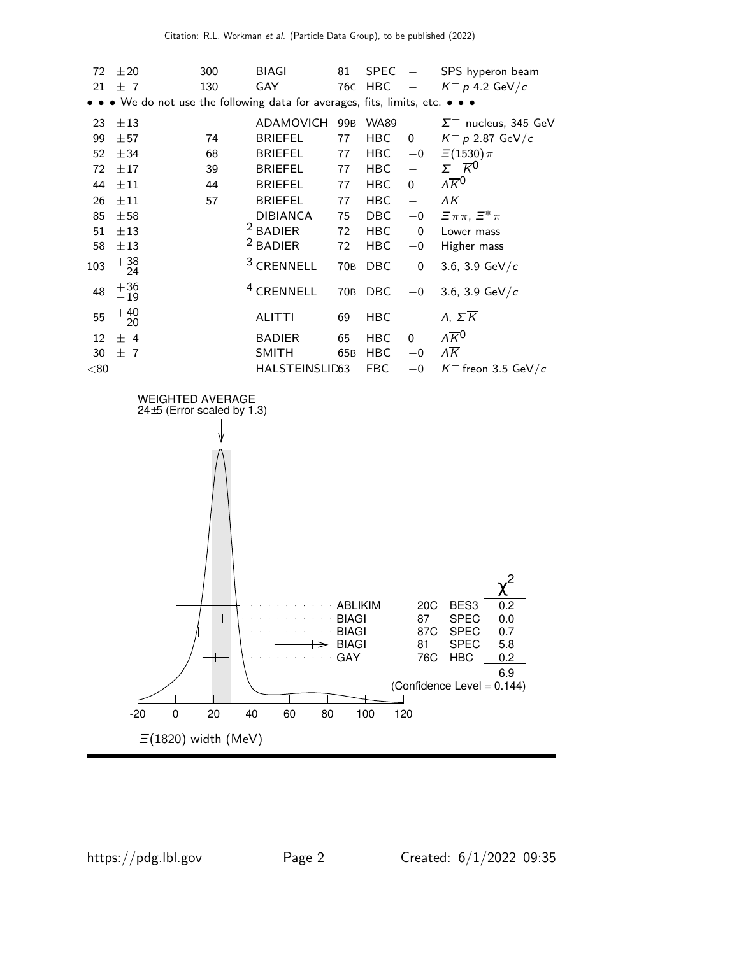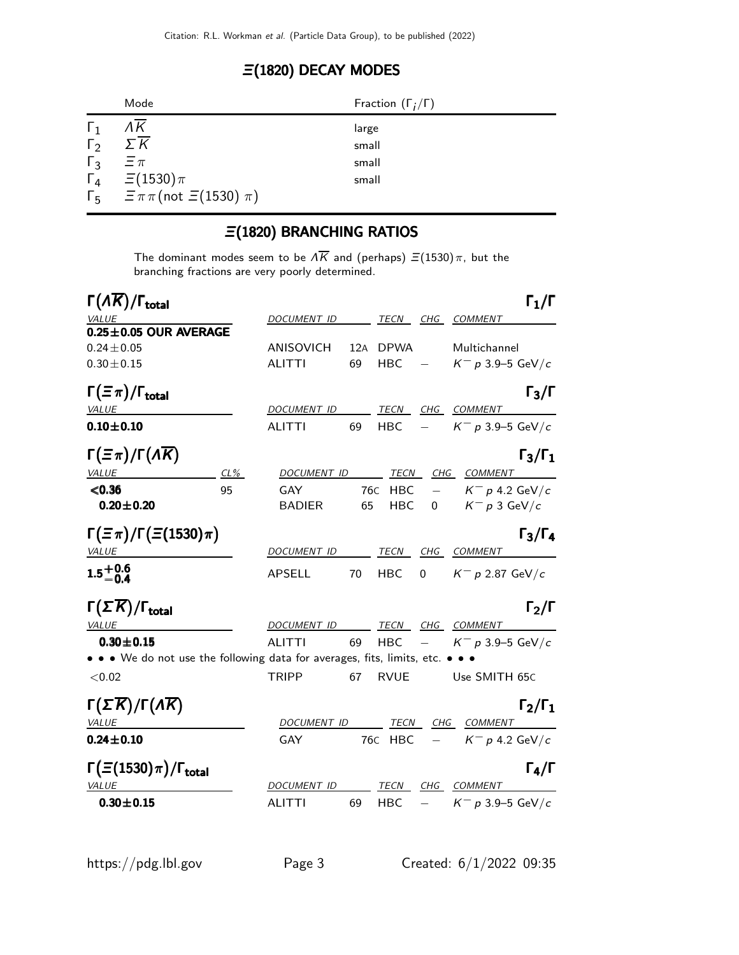### Ξ(1820) DECAY MODES

|            | Mode                                                   | Fraction $(\Gamma_i/\Gamma)$ |
|------------|--------------------------------------------------------|------------------------------|
| $\Gamma_1$ | ΛΚ                                                     | large                        |
| $\Gamma_2$ | $\Sigma\overline{K}$                                   | small                        |
| $\Gamma_3$ | $\Xi \pi$                                              | small                        |
|            | $\Gamma_4 \quad \Xi(1530)\pi$                          | small                        |
|            | $\Gamma_5 = \bar{\pi}\pi \text{ (not } \Xi(1530) \pi)$ |                              |

# Ξ(1820) BRANCHING RATIOS

The dominant modes seem to be  $\Lambda \overline{K}$  and (perhaps)  $\Xi$ (1530) $\pi$ , but the branching fractions are very poorly determined.

| $\Gamma(\Lambda \overline{\mathcal{K}})/\Gamma_{\text{total}}$                |        |                              |    |               |          |                                 | $\Gamma_1/\Gamma$   |
|-------------------------------------------------------------------------------|--------|------------------------------|----|---------------|----------|---------------------------------|---------------------|
| VALUE                                                                         |        | DOCUMENT ID                  |    |               |          | TECN CHG COMMENT                |                     |
| $0.25 \pm 0.05$ OUR AVERAGE<br>$0.24 \pm 0.05$                                |        | <b>ANISOVICH</b>             |    | 12A DPWA      |          | Multichannel                    |                     |
| $0.30 \pm 0.15$                                                               |        | <b>ALITTI</b>                | 69 | <b>HBC</b>    |          | $K^- p$ 3.9-5 GeV/c             |                     |
|                                                                               |        |                              |    |               |          |                                 |                     |
| $\Gamma(\Xi \pi)/\Gamma_{\rm total}$                                          |        |                              |    |               |          |                                 | $\Gamma_3/\Gamma$   |
| VALUE                                                                         |        | DOCUMENT ID                  |    |               |          | TECN CHG COMMENT                |                     |
| $0.10 + 0.10$                                                                 |        | AL ITTI                      | 69 | HBC.          |          | $K^- p$ 3.9-5 GeV/c             |                     |
| $\Gamma(\equiv \pi)/\Gamma(\Lambda \overline{K})$                             |        |                              |    |               |          |                                 | $\Gamma_3/\Gamma_1$ |
| <b>VALUE</b>                                                                  | $CL\%$ | DOCUMENT ID                  |    |               |          | TECN CHG COMMENT                |                     |
| < 0.36                                                                        | 95     | GAY                          |    | 76C HBC       | $\equiv$ | $K^- p$ 4.2 GeV/c               |                     |
| $0.20 \pm 0.20$                                                               |        | <b>BADIER</b>                | 65 | <b>HBC</b>    | 0        | $K^- p 3 \text{ GeV}/c$         |                     |
| $\Gamma(\Xi \pi)/\Gamma(\Xi(1530)\pi)$                                        |        |                              |    |               |          |                                 | $\Gamma_3/\Gamma_4$ |
| <u>VALUE</u>                                                                  |        | DOCUMENT ID                  |    | TECN          | CHG      | <u>COMMENT</u>                  |                     |
| $1.5^{+0.6}_{-0.4}$                                                           |        | <b>APSELL</b>                | 70 | <b>HBC</b>    | $\Omega$ | $K^- p 2.87 \text{ GeV}/c$      |                     |
| $\Gamma(\Sigma \overline{K})/\Gamma_{\text{total}}$                           |        |                              |    |               |          |                                 | $\Gamma_2/\Gamma$   |
| <i>VALUE</i>                                                                  |        | DOCUMENT ID TECN CHG COMMENT |    |               |          |                                 |                     |
| $0.30 \pm 0.15$                                                               |        | <b>ALITTI</b>                | 69 | <b>HBC</b>    |          | $- K^- p 3.9 - 5 \text{ GeV}/c$ |                     |
| • • • We do not use the following data for averages, fits, limits, etc. • • • |        |                              |    |               |          |                                 |                     |
| < 0.02                                                                        |        | <b>TRIPP</b>                 | 67 | <b>RVUE</b>   |          | Use SMITH 65C                   |                     |
| $\Gamma(\Sigma \overline{K})/\Gamma(\Lambda \overline{K})$                    |        |                              |    |               |          |                                 | $\Gamma_2/\Gamma_1$ |
| VALUE                                                                         |        | DOCUMENT ID                  |    |               |          | TECN CHG COMMENT                |                     |
| $0.24 \pm 0.10$                                                               |        | GAY                          |    | $76C$ HBC $-$ |          | $K^-$ p 4.2 GeV/c               |                     |
| $\Gamma(\Xi(1530)\pi)/\Gamma_{\rm total}$                                     |        |                              |    |               |          |                                 | $\Gamma_4/\Gamma$   |
| <i>VALUE</i>                                                                  |        | <i>DOCUMENT ID</i>           |    | <b>TECN</b>   |          | CHG COMMENT                     |                     |
| $0.30 \pm 0.15$                                                               |        | ALITTI                       | 69 | <b>HBC</b>    |          | $K^- p$ 3.9–5 GeV/c             |                     |
|                                                                               |        |                              |    |               |          |                                 |                     |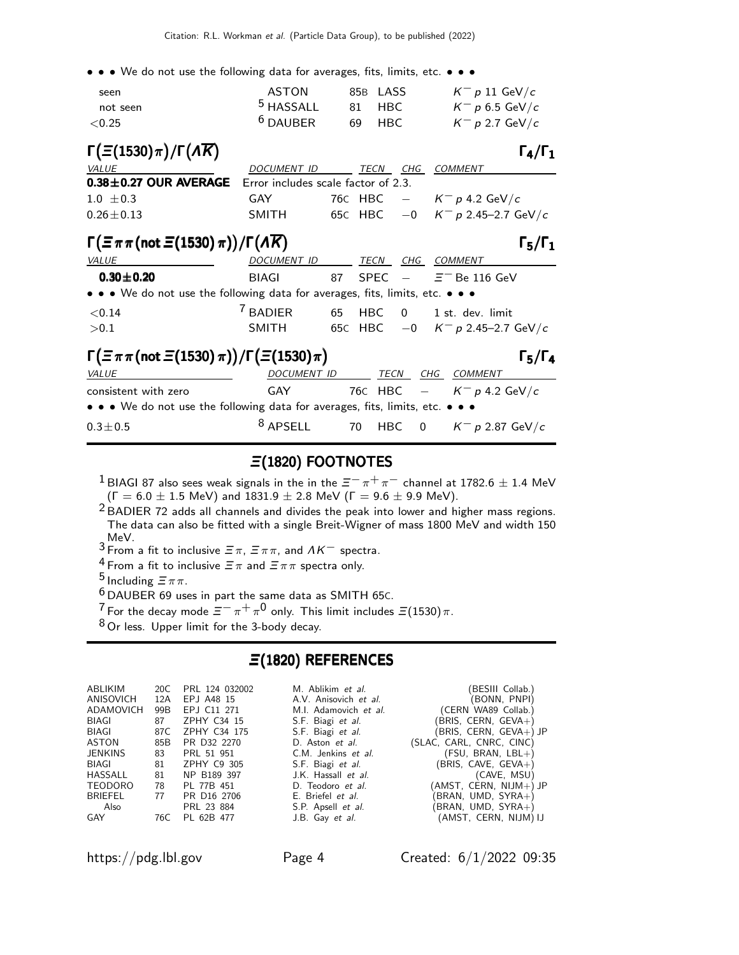• • • We do not use the following data for averages, fits, limits, etc. • • •

| seen      | ASTON                | 85B LASS | $K^-$ p 11 GeV/c  |
|-----------|----------------------|----------|-------------------|
| not seen  | <sup>5</sup> HASSALL | 81 HBC   | $K^-$ p 6.5 GeV/c |
| ${<}0.25$ | <sup>6</sup> DAUBER  | 69 HBC   | $K^-$ p 2.7 GeV/c |

| $\Gamma(\Xi(1530)\pi)/\Gamma(\Lambda\overline{K})$        |              |      |     | $\Gamma_4/\Gamma_1$                 |
|-----------------------------------------------------------|--------------|------|-----|-------------------------------------|
| <i>VALUE</i>                                              | DOCUMENT ID  | TECN | CHG | <i>COMMENT</i>                      |
| 0.38±0.27 OUR AVERAGE Error includes scale factor of 2.3. |              |      |     |                                     |
| $1.0 \pm 0.3$                                             | GAY          |      |     | 76C HBC $ K^- p 4.2 \text{ GeV}/c$  |
| $0.26 + 0.13$                                             | <b>SMITH</b> |      |     | 65C HBC $-0$ $K^- p 2.45-2.7$ GeV/c |

| $\Gamma(\Xi \pi \pi \text{(not } \Xi(1530) \pi))/\Gamma(\Lambda \overline{K})$ |                     |    |             |                          |                                       | $\Gamma_5/\Gamma_1$ |
|--------------------------------------------------------------------------------|---------------------|----|-------------|--------------------------|---------------------------------------|---------------------|
| VALUE                                                                          | <b>DOCUMENT ID</b>  |    | TECN        | CHG                      | <b>COMMENT</b>                        |                     |
| $0.30 \pm 0.20$                                                                | BIAGI               | 87 | <b>SPFC</b> | $\overline{\phantom{a}}$ | $\Xi^-$ Be 116 GeV                    |                     |
| • • • We do not use the following data for averages, fits, limits, etc. • • •  |                     |    |             |                          |                                       |                     |
| ${<}0.14$                                                                      | <sup>7</sup> BADIER | 65 | <b>HBC</b>  | - 0                      | 1 st. dev. limit                      |                     |
| > 0.1                                                                          | <b>SMITH</b>        |    |             |                          | 65C HBC $-0$ $K^- p 2.45 - 2.7$ GeV/c |                     |
| $\Gamma(\Xi \pi \pi \text{(not } \Xi(1530) \pi)) / \Gamma(\Xi(1530) \pi)$      |                     |    |             |                          |                                       | $\Gamma_5/\Gamma_4$ |
| VALUE                                                                          | DOCUMENT ID         |    | TECN        |                          | CHG<br><b>COMMENT</b>                 |                     |
| consistent with zero                                                           | GAY                 |    |             |                          | 76C HBC $ K^- p 4.2 \text{ GeV}/c$    |                     |
| • • • We do not use the following data for averages, fits, limits, etc. • • •  |                     |    |             |                          |                                       |                     |
| $0.3 \pm 0.5$                                                                  | <b>APSELL</b>       |    | 70<br>HBC   | $\overline{0}$           | $K^-$ p 2.87 GeV/c                    |                     |

## $\Xi$ (1820) FOOTNOTES

- $^1$ BIAGI 87 also sees weak signals in the in the  $\bar{z}^-\pi^+\pi^-$  channel at 1782.6  $\pm$  1.4 MeV  $(\Gamma = 6.0 \pm 1.5 \text{ MeV})$  and  $1831.9 \pm 2.8 \text{ MeV}$  ( $\Gamma = 9.6 \pm 9.9 \text{ MeV}$ ).
- $2$  BADIER 72 adds all channels and divides the peak into lower and higher mass regions. The data can also be fitted with a single Breit-Wigner of mass 1800 MeV and width 150 MeV.
- $3$  From a fit to inclusive  $\equiv \pi$ ,  $\equiv \pi \pi$ , and  $\Delta K^{-}$  spectra.
- <sup>4</sup> From a fit to inclusive  $\equiv \pi$  and  $\equiv \pi \pi$  spectra only.
- $5$  Including  $\Xi \pi \pi$ .

6 DAUBER 69 uses in part the same data as SMITH 65C.

<sup>7</sup> For the decay mode  $\bar{z}^- \pi^+ \pi^0$  only. This limit includes  $\bar{z}$ (1530) $\pi$ .

 $8$  Or less. Upper limit for the 3-body decay.

### Ξ(1820) REFERENCES

| 20C | PRL 124 032002 | M. Ablikim et al.         | (BESIII Collab.)         |
|-----|----------------|---------------------------|--------------------------|
| 12A | EPJ A48 15     | A.V. Anisovich et al.     | (BONN, PNPI)             |
| 99B | EPJ C11 271    | M.I. Adamovich et al.     | (CERN WA89 Collab.)      |
| 87  | ZPHY C34 15    | S.F. Biagi et al.         | (BRIS, CERN, GEVA+)      |
| 87C | ZPHY C34 175   | S.F. Biagi et al.         | (BRIS,CERN,GEVA+)JP      |
| 85B | PR D32 2270    | D. Aston <i>et al.</i>    | (SLAC, CARL, CNRC, CINC) |
| 83  | PRL 51 951     | C.M. Jenkins et al.       | $(FSU, BRAN, LBL+)$      |
| 81  |                | S.F. Biagi et al.         | $(BRIS, CAVE, GEVA+)$    |
| 81  | NP B189 397    | J.K. Hassall et al.       | (CAVE, MSU)              |
| 78  | PL 77B 451     | D. Teodoro et al.         | (AMST, CERN, NIJM+) JP   |
| 77  | PR D16 2706    | E. Briefel et al.         | (BRAN, UMD, SYRA+)       |
|     | PRL 23 884     | S.P. Apsell <i>et al.</i> | (BRAN, UMD, SYRA+).      |
| 76C | PL 62B 477     | J.B. Gay et al.           | (AMST, CERN, NIJM) IJ    |
|     |                | ZPHY C9 305               |                          |

https://pdg.lbl.gov Page 4 Created: 6/1/2022 09:35